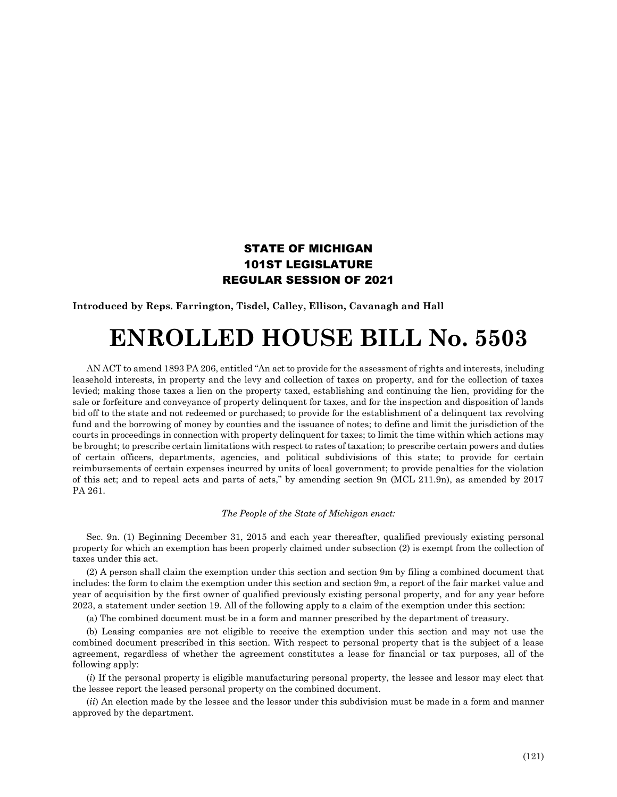## STATE OF MICHIGAN 101ST LEGISLATURE REGULAR SESSION OF 2021

**Introduced by Reps. Farrington, Tisdel, Calley, Ellison, Cavanagh and Hall**

## **ENROLLED HOUSE BILL No. 5503**

AN ACT to amend 1893 PA 206, entitled "An act to provide for the assessment of rights and interests, including leasehold interests, in property and the levy and collection of taxes on property, and for the collection of taxes levied; making those taxes a lien on the property taxed, establishing and continuing the lien, providing for the sale or forfeiture and conveyance of property delinquent for taxes, and for the inspection and disposition of lands bid off to the state and not redeemed or purchased; to provide for the establishment of a delinquent tax revolving fund and the borrowing of money by counties and the issuance of notes; to define and limit the jurisdiction of the courts in proceedings in connection with property delinquent for taxes; to limit the time within which actions may be brought; to prescribe certain limitations with respect to rates of taxation; to prescribe certain powers and duties of certain officers, departments, agencies, and political subdivisions of this state; to provide for certain reimbursements of certain expenses incurred by units of local government; to provide penalties for the violation of this act; and to repeal acts and parts of acts," by amending section 9n (MCL 211.9n), as amended by 2017 PA 261.

## *The People of the State of Michigan enact:*

Sec. 9n. (1) Beginning December 31, 2015 and each year thereafter, qualified previously existing personal property for which an exemption has been properly claimed under subsection (2) is exempt from the collection of taxes under this act.

(2) A person shall claim the exemption under this section and section 9m by filing a combined document that includes: the form to claim the exemption under this section and section 9m, a report of the fair market value and year of acquisition by the first owner of qualified previously existing personal property, and for any year before 2023, a statement under section 19. All of the following apply to a claim of the exemption under this section:

(a) The combined document must be in a form and manner prescribed by the department of treasury.

(b) Leasing companies are not eligible to receive the exemption under this section and may not use the combined document prescribed in this section. With respect to personal property that is the subject of a lease agreement, regardless of whether the agreement constitutes a lease for financial or tax purposes, all of the following apply:

(*i*) If the personal property is eligible manufacturing personal property, the lessee and lessor may elect that the lessee report the leased personal property on the combined document.

(*ii*) An election made by the lessee and the lessor under this subdivision must be made in a form and manner approved by the department.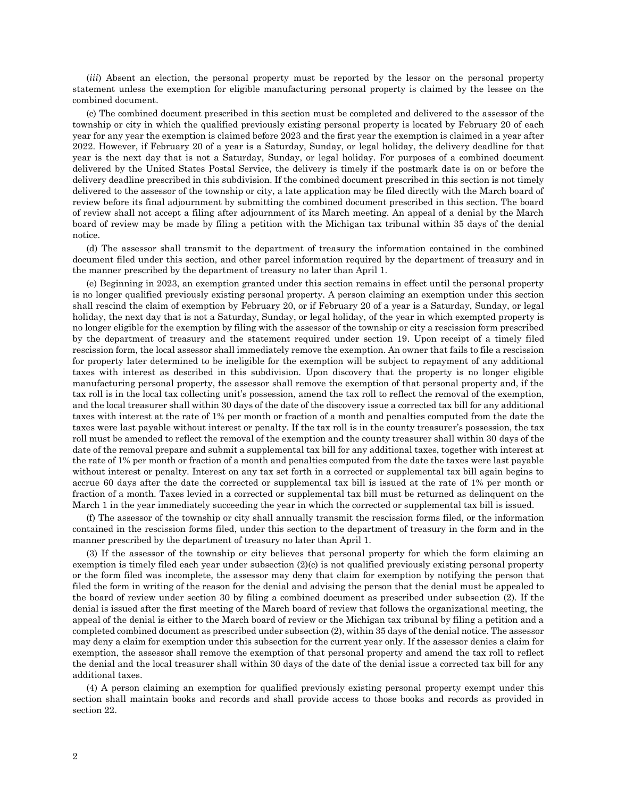(*iii*) Absent an election, the personal property must be reported by the lessor on the personal property statement unless the exemption for eligible manufacturing personal property is claimed by the lessee on the combined document.

(c) The combined document prescribed in this section must be completed and delivered to the assessor of the township or city in which the qualified previously existing personal property is located by February 20 of each year for any year the exemption is claimed before 2023 and the first year the exemption is claimed in a year after 2022. However, if February 20 of a year is a Saturday, Sunday, or legal holiday, the delivery deadline for that year is the next day that is not a Saturday, Sunday, or legal holiday. For purposes of a combined document delivered by the United States Postal Service, the delivery is timely if the postmark date is on or before the delivery deadline prescribed in this subdivision. If the combined document prescribed in this section is not timely delivered to the assessor of the township or city, a late application may be filed directly with the March board of review before its final adjournment by submitting the combined document prescribed in this section. The board of review shall not accept a filing after adjournment of its March meeting. An appeal of a denial by the March board of review may be made by filing a petition with the Michigan tax tribunal within 35 days of the denial notice.

(d) The assessor shall transmit to the department of treasury the information contained in the combined document filed under this section, and other parcel information required by the department of treasury and in the manner prescribed by the department of treasury no later than April 1.

(e) Beginning in 2023, an exemption granted under this section remains in effect until the personal property is no longer qualified previously existing personal property. A person claiming an exemption under this section shall rescind the claim of exemption by February 20, or if February 20 of a year is a Saturday, Sunday, or legal holiday, the next day that is not a Saturday, Sunday, or legal holiday, of the year in which exempted property is no longer eligible for the exemption by filing with the assessor of the township or city a rescission form prescribed by the department of treasury and the statement required under section 19. Upon receipt of a timely filed rescission form, the local assessor shall immediately remove the exemption. An owner that fails to file a rescission for property later determined to be ineligible for the exemption will be subject to repayment of any additional taxes with interest as described in this subdivision. Upon discovery that the property is no longer eligible manufacturing personal property, the assessor shall remove the exemption of that personal property and, if the tax roll is in the local tax collecting unit's possession, amend the tax roll to reflect the removal of the exemption, and the local treasurer shall within 30 days of the date of the discovery issue a corrected tax bill for any additional taxes with interest at the rate of 1% per month or fraction of a month and penalties computed from the date the taxes were last payable without interest or penalty. If the tax roll is in the county treasurer's possession, the tax roll must be amended to reflect the removal of the exemption and the county treasurer shall within 30 days of the date of the removal prepare and submit a supplemental tax bill for any additional taxes, together with interest at the rate of 1% per month or fraction of a month and penalties computed from the date the taxes were last payable without interest or penalty. Interest on any tax set forth in a corrected or supplemental tax bill again begins to accrue 60 days after the date the corrected or supplemental tax bill is issued at the rate of 1% per month or fraction of a month. Taxes levied in a corrected or supplemental tax bill must be returned as delinquent on the March 1 in the year immediately succeeding the year in which the corrected or supplemental tax bill is issued.

(f) The assessor of the township or city shall annually transmit the rescission forms filed, or the information contained in the rescission forms filed, under this section to the department of treasury in the form and in the manner prescribed by the department of treasury no later than April 1.

(3) If the assessor of the township or city believes that personal property for which the form claiming an exemption is timely filed each year under subsection (2)(c) is not qualified previously existing personal property or the form filed was incomplete, the assessor may deny that claim for exemption by notifying the person that filed the form in writing of the reason for the denial and advising the person that the denial must be appealed to the board of review under section 30 by filing a combined document as prescribed under subsection (2). If the denial is issued after the first meeting of the March board of review that follows the organizational meeting, the appeal of the denial is either to the March board of review or the Michigan tax tribunal by filing a petition and a completed combined document as prescribed under subsection (2), within 35 days of the denial notice. The assessor may deny a claim for exemption under this subsection for the current year only. If the assessor denies a claim for exemption, the assessor shall remove the exemption of that personal property and amend the tax roll to reflect the denial and the local treasurer shall within 30 days of the date of the denial issue a corrected tax bill for any additional taxes.

(4) A person claiming an exemption for qualified previously existing personal property exempt under this section shall maintain books and records and shall provide access to those books and records as provided in section 22.